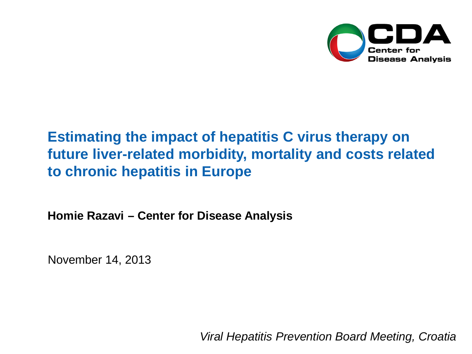

# **Estimating the impact of hepatitis C virus therapy on future liver-related morbidity, mortality and costs related to chronic hepatitis in Europe**

**Homie Razavi – Center for Disease Analysis**

November 14, 2013

*Viral Hepatitis Prevention Board Meeting, Croatia*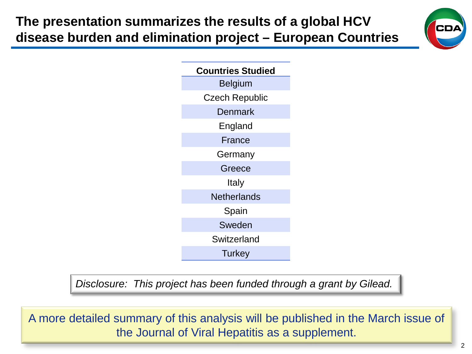**The presentation summarizes the results of a global HCV disease burden and elimination project – European Countries**





*Disclosure: This project has been funded through a grant by Gilead.*

A more detailed summary of this analysis will be published in the March issue of the Journal of Viral Hepatitis as a supplement.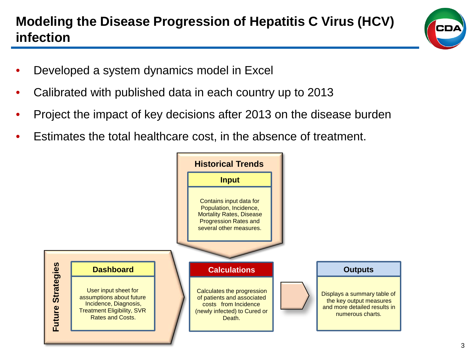## **Modeling the Disease Progression of Hepatitis C Virus (HCV) infection**



- Developed a system dynamics model in Excel
- Calibrated with published data in each country up to 2013
- Project the impact of key decisions after 2013 on the disease burden
- Estimates the total healthcare cost, in the absence of treatment.

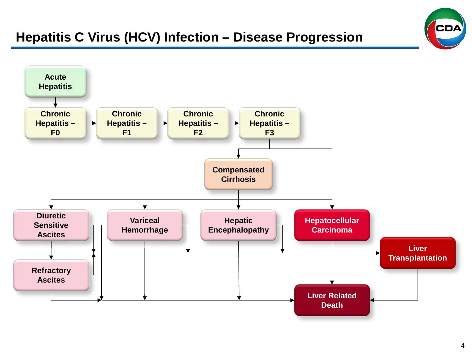### **Hepatitis C Virus (HCV) Infection – Disease Progression**



**CDA**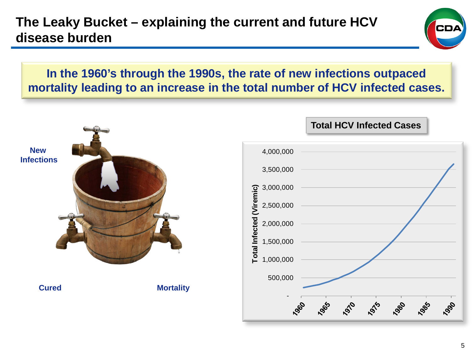

### **In the 1960's through the 1990s, the rate of new infections outpaced mortality leading to an increase in the total number of HCV infected cases.**

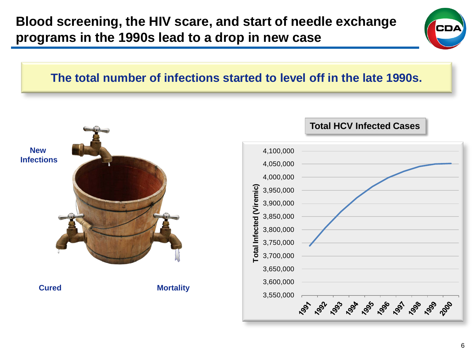

### **The total number of infections started to level off in the late 1990s.**

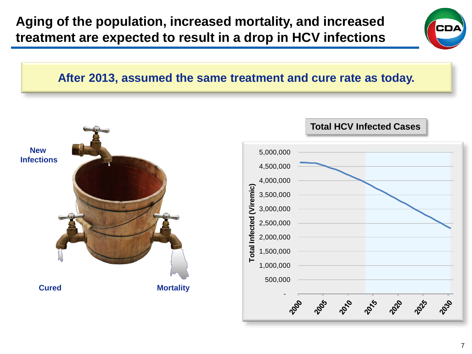**Aging of the population, increased mortality, and increased treatment are expected to result in a drop in HCV infections**



#### **After 2013, assumed the same treatment and cure rate as today.**

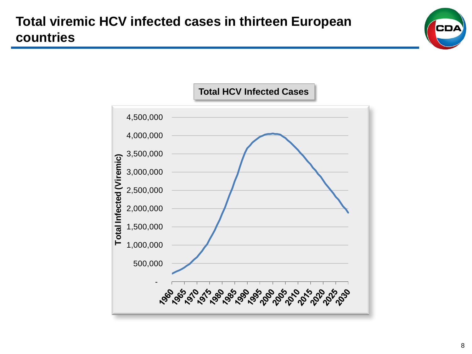

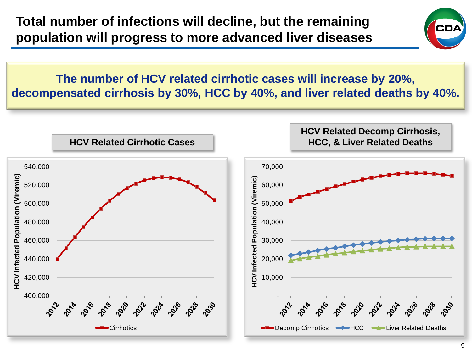

**The number of HCV related cirrhotic cases will increase by 20%, decompensated cirrhosis by 30%, HCC by 40%, and liver related deaths by 40%.**

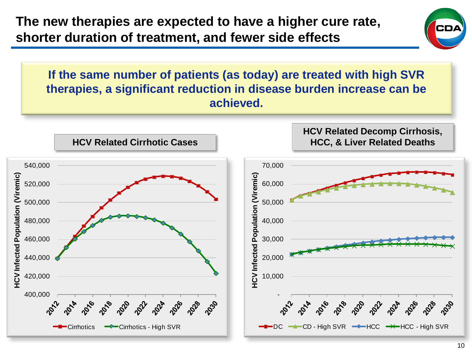

**If the same number of patients (as today) are treated with high SVR therapies, a significant reduction in disease burden increase can be achieved.**

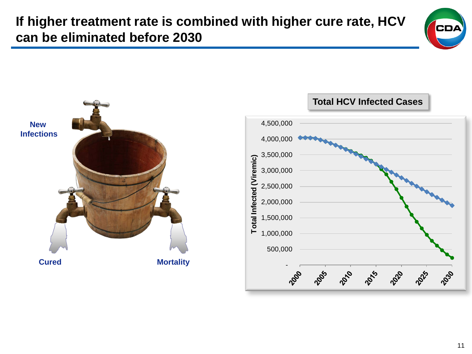**If higher treatment rate is combined with higher cure rate, HCV can be eliminated before 2030**





11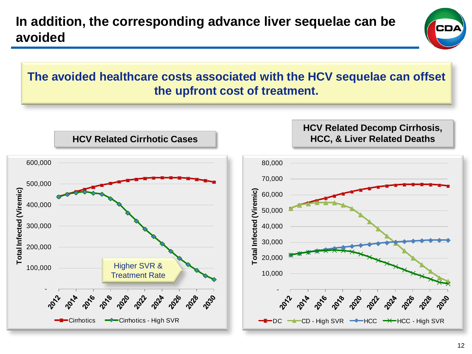## **In addition, the corresponding advance liver sequelae can be avoided**